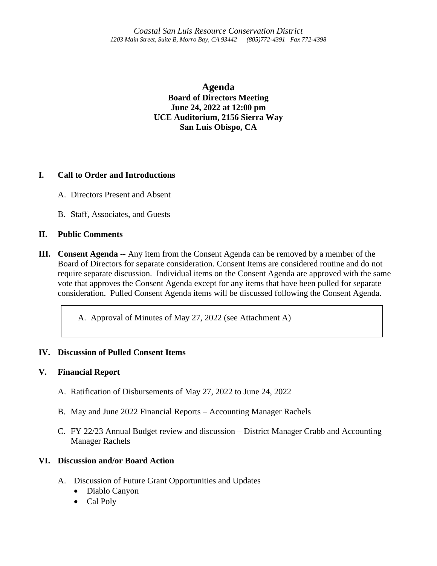**Agenda Board of Directors Meeting June 24, 2022 at 12:00 pm UCE Auditorium, 2156 Sierra Way San Luis Obispo, CA**

# **I. Call to Order and Introductions**

- A. Directors Present and Absent
- B. Staff, Associates, and Guests

## **II. Public Comments**

**III. Consent Agenda --** Any item from the Consent Agenda can be removed by a member of the Board of Directors for separate consideration. Consent Items are considered routine and do not require separate discussion. Individual items on the Consent Agenda are approved with the same vote that approves the Consent Agenda except for any items that have been pulled for separate consideration. Pulled Consent Agenda items will be discussed following the Consent Agenda.

A. Approval of Minutes of May 27, 2022 (see Attachment A)

# **IV. Discussion of Pulled Consent Items**

## **V. Financial Report**

- A. Ratification of Disbursements of May 27, 2022 to June 24, 2022
- B. May and June 2022 Financial Reports Accounting Manager Rachels
- C. FY 22/23 Annual Budget review and discussion District Manager Crabb and Accounting Manager Rachels

# **VI. Discussion and/or Board Action**

- A. Discussion of Future Grant Opportunities and Updates
	- Diablo Canyon
	- Cal Poly